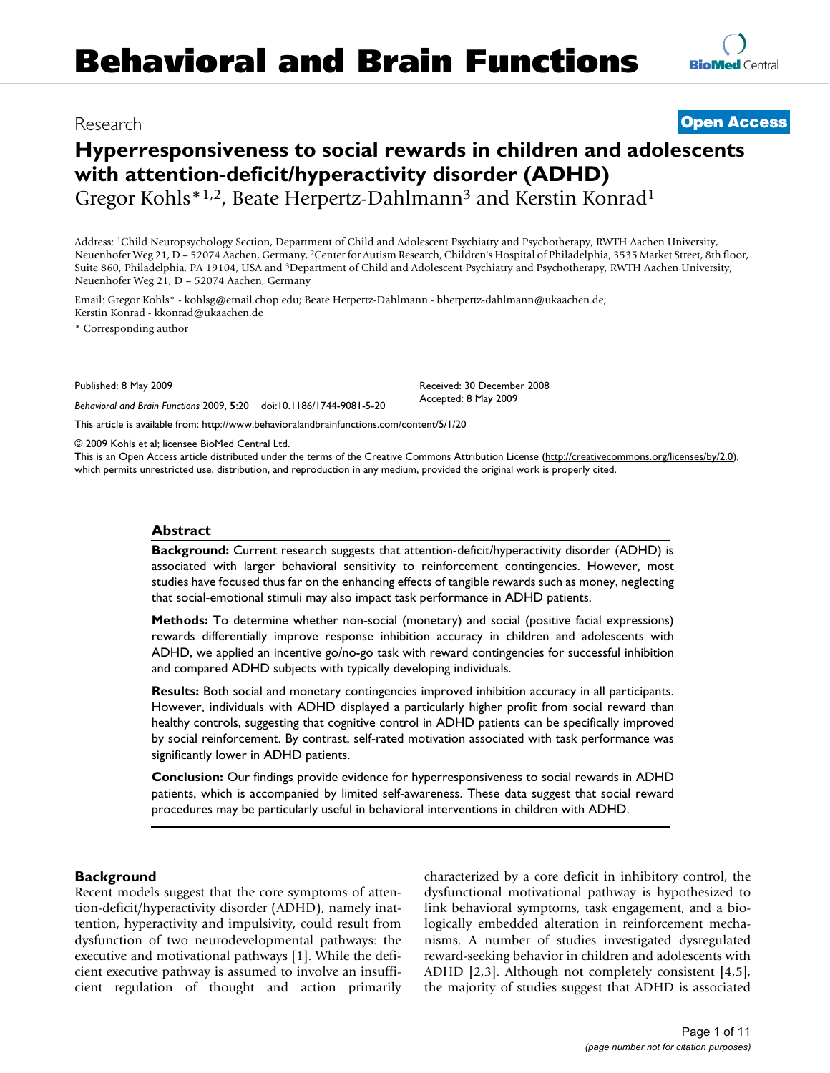# Research **[Open Access](http://www.biomedcentral.com/info/about/charter/)**

**[BioMed](http://www.biomedcentral.com/)** Central

# **Hyperresponsiveness to social rewards in children and adolescents with attention-deficit/hyperactivity disorder (ADHD)**

Gregor Kohls<sup>\*1,2</sup>, Beate Herpertz-Dahlmann<sup>3</sup> and Kerstin Konrad<sup>1</sup>

Address: 1Child Neuropsychology Section, Department of Child and Adolescent Psychiatry and Psychotherapy, RWTH Aachen University, Neuenhofer Weg 21, D – 52074 Aachen, Germany, 2Center for Autism Research, Children's Hospital of Philadelphia, 3535 Market Street, 8th floor, Suite 860, Philadelphia, PA 19104, USA and 3Department of Child and Adolescent Psychiatry and Psychotherapy, RWTH Aachen University, Neuenhofer Weg 21, D – 52074 Aachen, Germany

Email: Gregor Kohls\* - kohlsg@email.chop.edu; Beate Herpertz-Dahlmann - bherpertz-dahlmann@ukaachen.de; Kerstin Konrad - kkonrad@ukaachen.de

\* Corresponding author

Published: 8 May 2009

*Behavioral and Brain Functions* 2009, **5**:20 doi:10.1186/1744-9081-5-20

[This article is available from: http://www.behavioralandbrainfunctions.com/content/5/1/20](http://www.behavioralandbrainfunctions.com/content/5/1/20)

© 2009 Kohls et al; licensee BioMed Central Ltd.

This is an Open Access article distributed under the terms of the Creative Commons Attribution License [\(http://creativecommons.org/licenses/by/2.0\)](http://creativecommons.org/licenses/by/2.0), which permits unrestricted use, distribution, and reproduction in any medium, provided the original work is properly cited.

Received: 30 December 2008 Accepted: 8 May 2009

#### **Abstract**

**Background:** Current research suggests that attention-deficit/hyperactivity disorder (ADHD) is associated with larger behavioral sensitivity to reinforcement contingencies. However, most studies have focused thus far on the enhancing effects of tangible rewards such as money, neglecting that social-emotional stimuli may also impact task performance in ADHD patients.

**Methods:** To determine whether non-social (monetary) and social (positive facial expressions) rewards differentially improve response inhibition accuracy in children and adolescents with ADHD, we applied an incentive go/no-go task with reward contingencies for successful inhibition and compared ADHD subjects with typically developing individuals.

**Results:** Both social and monetary contingencies improved inhibition accuracy in all participants. However, individuals with ADHD displayed a particularly higher profit from social reward than healthy controls, suggesting that cognitive control in ADHD patients can be specifically improved by social reinforcement. By contrast, self-rated motivation associated with task performance was significantly lower in ADHD patients.

**Conclusion:** Our findings provide evidence for hyperresponsiveness to social rewards in ADHD patients, which is accompanied by limited self-awareness. These data suggest that social reward procedures may be particularly useful in behavioral interventions in children with ADHD.

#### **Background**

Recent models suggest that the core symptoms of attention-deficit/hyperactivity disorder (ADHD), namely inattention, hyperactivity and impulsivity, could result from dysfunction of two neurodevelopmental pathways: the executive and motivational pathways [1]. While the deficient executive pathway is assumed to involve an insufficient regulation of thought and action primarily characterized by a core deficit in inhibitory control, the dysfunctional motivational pathway is hypothesized to link behavioral symptoms, task engagement, and a biologically embedded alteration in reinforcement mechanisms. A number of studies investigated dysregulated reward-seeking behavior in children and adolescents with ADHD [2,3]. Although not completely consistent [4,5], the majority of studies suggest that ADHD is associated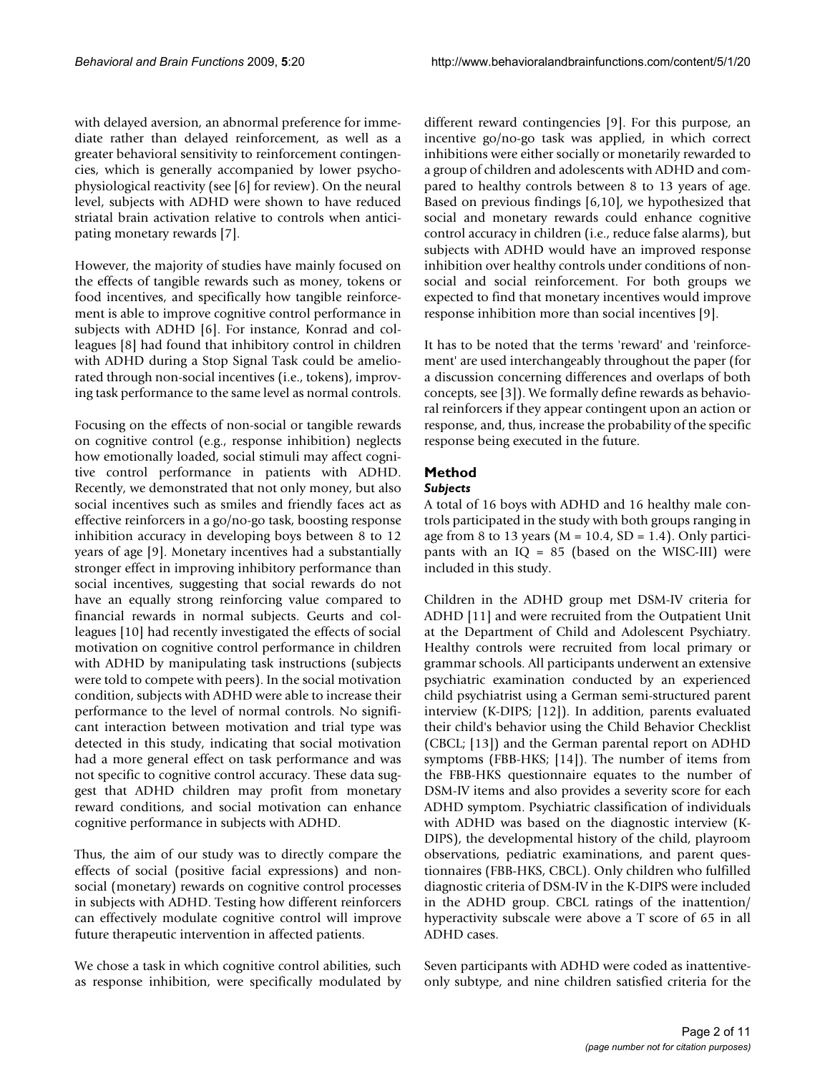with delayed aversion, an abnormal preference for immediate rather than delayed reinforcement, as well as a greater behavioral sensitivity to reinforcement contingencies, which is generally accompanied by lower psychophysiological reactivity (see [6] for review). On the neural level, subjects with ADHD were shown to have reduced striatal brain activation relative to controls when anticipating monetary rewards [7].

However, the majority of studies have mainly focused on the effects of tangible rewards such as money, tokens or food incentives, and specifically how tangible reinforcement is able to improve cognitive control performance in subjects with ADHD [6]. For instance, Konrad and colleagues [8] had found that inhibitory control in children with ADHD during a Stop Signal Task could be ameliorated through non-social incentives (i.e., tokens), improving task performance to the same level as normal controls.

Focusing on the effects of non-social or tangible rewards on cognitive control (e.g., response inhibition) neglects how emotionally loaded, social stimuli may affect cognitive control performance in patients with ADHD. Recently, we demonstrated that not only money, but also social incentives such as smiles and friendly faces act as effective reinforcers in a go/no-go task, boosting response inhibition accuracy in developing boys between 8 to 12 years of age [9]. Monetary incentives had a substantially stronger effect in improving inhibitory performance than social incentives, suggesting that social rewards do not have an equally strong reinforcing value compared to financial rewards in normal subjects. Geurts and colleagues [10] had recently investigated the effects of social motivation on cognitive control performance in children with ADHD by manipulating task instructions (subjects were told to compete with peers). In the social motivation condition, subjects with ADHD were able to increase their performance to the level of normal controls. No significant interaction between motivation and trial type was detected in this study, indicating that social motivation had a more general effect on task performance and was not specific to cognitive control accuracy. These data suggest that ADHD children may profit from monetary reward conditions, and social motivation can enhance cognitive performance in subjects with ADHD.

Thus, the aim of our study was to directly compare the effects of social (positive facial expressions) and nonsocial (monetary) rewards on cognitive control processes in subjects with ADHD. Testing how different reinforcers can effectively modulate cognitive control will improve future therapeutic intervention in affected patients.

We chose a task in which cognitive control abilities, such as response inhibition, were specifically modulated by different reward contingencies [9]. For this purpose, an incentive go/no-go task was applied, in which correct inhibitions were either socially or monetarily rewarded to a group of children and adolescents with ADHD and compared to healthy controls between 8 to 13 years of age. Based on previous findings [6,10], we hypothesized that social and monetary rewards could enhance cognitive control accuracy in children (i.e., reduce false alarms), but subjects with ADHD would have an improved response inhibition over healthy controls under conditions of nonsocial and social reinforcement. For both groups we expected to find that monetary incentives would improve response inhibition more than social incentives [9].

It has to be noted that the terms 'reward' and 'reinforcement' are used interchangeably throughout the paper (for a discussion concerning differences and overlaps of both concepts, see [3]). We formally define rewards as behavioral reinforcers if they appear contingent upon an action or response, and, thus, increase the probability of the specific response being executed in the future.

# **Method**

#### *Subjects*

A total of 16 boys with ADHD and 16 healthy male controls participated in the study with both groups ranging in age from 8 to 13 years ( $M = 10.4$ ,  $SD = 1.4$ ). Only participants with an  $IQ = 85$  (based on the WISC-III) were included in this study.

Children in the ADHD group met DSM-IV criteria for ADHD [11] and were recruited from the Outpatient Unit at the Department of Child and Adolescent Psychiatry. Healthy controls were recruited from local primary or grammar schools. All participants underwent an extensive psychiatric examination conducted by an experienced child psychiatrist using a German semi-structured parent interview (K-DIPS; [12]). In addition, parents evaluated their child's behavior using the Child Behavior Checklist (CBCL; [13]) and the German parental report on ADHD symptoms (FBB-HKS; [14]). The number of items from the FBB-HKS questionnaire equates to the number of DSM-IV items and also provides a severity score for each ADHD symptom. Psychiatric classification of individuals with ADHD was based on the diagnostic interview (K-DIPS), the developmental history of the child, playroom observations, pediatric examinations, and parent questionnaires (FBB-HKS, CBCL). Only children who fulfilled diagnostic criteria of DSM-IV in the K-DIPS were included in the ADHD group. CBCL ratings of the inattention/ hyperactivity subscale were above a T score of 65 in all ADHD cases.

Seven participants with ADHD were coded as inattentiveonly subtype, and nine children satisfied criteria for the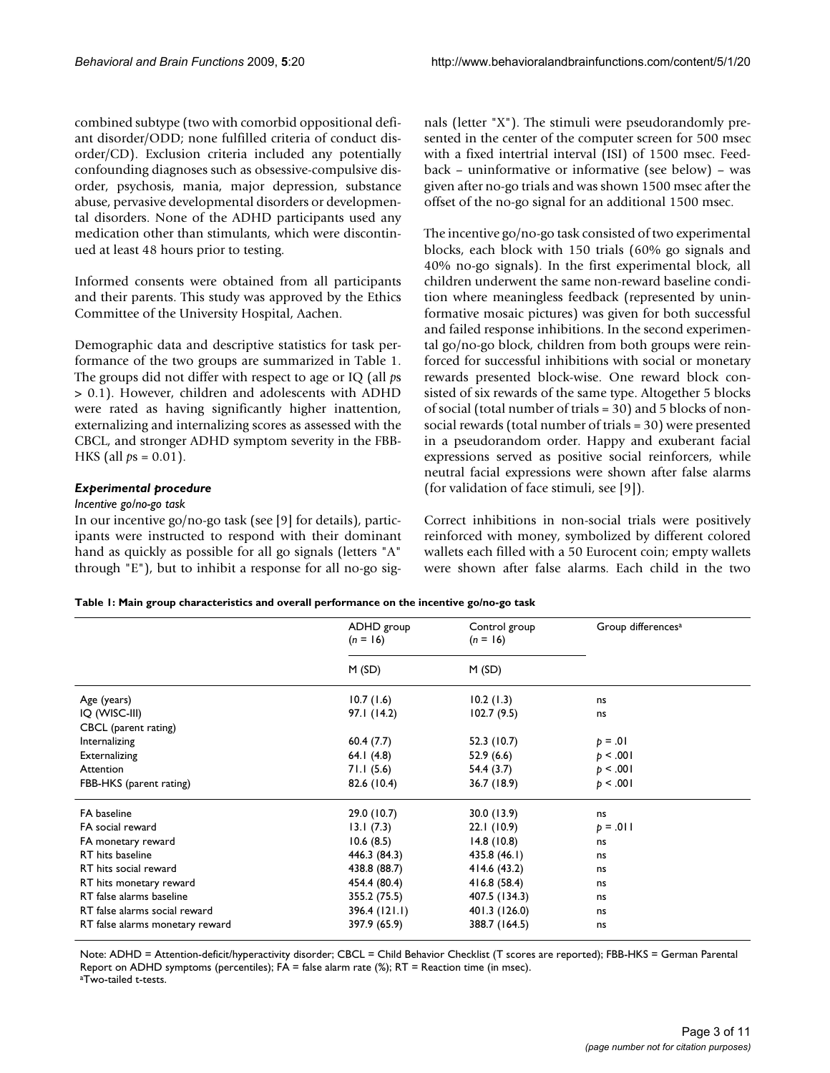combined subtype (two with comorbid oppositional defiant disorder/ODD; none fulfilled criteria of conduct disorder/CD). Exclusion criteria included any potentially confounding diagnoses such as obsessive-compulsive disorder, psychosis, mania, major depression, substance abuse, pervasive developmental disorders or developmental disorders. None of the ADHD participants used any medication other than stimulants, which were discontinued at least 48 hours prior to testing.

Informed consents were obtained from all participants and their parents. This study was approved by the Ethics Committee of the University Hospital, Aachen.

Demographic data and descriptive statistics for task performance of the two groups are summarized in Table 1. The groups did not differ with respect to age or IQ (all *p*s > 0.1). However, children and adolescents with ADHD were rated as having significantly higher inattention, externalizing and internalizing scores as assessed with the CBCL, and stronger ADHD symptom severity in the FBB-HKS (all  $ps = 0.01$ ).

#### *Experimental procedure*

#### *Incentive go/no-go task*

In our incentive go/no-go task (see [9] for details), participants were instructed to respond with their dominant hand as quickly as possible for all go signals (letters "A" through "E"), but to inhibit a response for all no-go signals (letter "X"). The stimuli were pseudorandomly presented in the center of the computer screen for 500 msec with a fixed intertrial interval (ISI) of 1500 msec. Feedback – uninformative or informative (see below) – was given after no-go trials and was shown 1500 msec after the offset of the no-go signal for an additional 1500 msec.

The incentive go/no-go task consisted of two experimental blocks, each block with 150 trials (60% go signals and 40% no-go signals). In the first experimental block, all children underwent the same non-reward baseline condition where meaningless feedback (represented by uninformative mosaic pictures) was given for both successful and failed response inhibitions. In the second experimental go/no-go block, children from both groups were reinforced for successful inhibitions with social or monetary rewards presented block-wise. One reward block consisted of six rewards of the same type. Altogether 5 blocks of social (total number of trials = 30) and 5 blocks of nonsocial rewards (total number of trials = 30) were presented in a pseudorandom order. Happy and exuberant facial expressions served as positive social reinforcers, while neutral facial expressions were shown after false alarms (for validation of face stimuli, see [9]).

Correct inhibitions in non-social trials were positively reinforced with money, symbolized by different colored wallets each filled with a 50 Eurocent coin; empty wallets were shown after false alarms. Each child in the two

|  |  |  | Table 1: Main group characteristics and overall performance on the incentive go/no-go task |
|--|--|--|--------------------------------------------------------------------------------------------|
|--|--|--|--------------------------------------------------------------------------------------------|

|                                 | ADHD group<br>$(n = 16)$ | Control group<br>$(n = 16)$ | Group differences <sup>a</sup> |
|---------------------------------|--------------------------|-----------------------------|--------------------------------|
|                                 | M(SD)                    | M(SD)                       |                                |
| Age (years)                     | 10.7(1.6)                | 10.2(1.3)                   | ns                             |
| IQ (WISC-III)                   | 97.1 (14.2)              | 102.7(9.5)                  | ns                             |
| CBCL (parent rating)            |                          |                             |                                |
| Internalizing                   | 60.4(7.7)                | 52.3 (10.7)                 | $p = .01$                      |
| Externalizing                   | 64.1 $(4.8)$             | 52.9(6.6)                   | p < .001                       |
| Attention                       | 71.1(5.6)                | 54.4(3.7)                   | p < .001                       |
| FBB-HKS (parent rating)         | 82.6 (10.4)              | 36.7(18.9)                  | p < .001                       |
| FA baseline                     | 29.0 (10.7)              | 30.0(13.9)                  | ns                             |
| FA social reward                | 13.1(7.3)                | 22.1(10.9)                  | $p = .011$                     |
| FA monetary reward              | 10.6(8.5)                | 14.8(10.8)                  | ns                             |
| RT hits baseline                | 446.3 (84.3)             | 435.8 (46.1)                | ns                             |
| RT hits social reward           | 438.8 (88.7)             | 414.6 (43.2)                | ns                             |
| RT hits monetary reward         | 454.4 (80.4)             | 416.8 (58.4)                | ns                             |
| RT false alarms baseline        | 355.2 (75.5)             | 407.5 (134.3)               | ns                             |
| RT false alarms social reward   | 396.4 (121.1)            | 401.3 (126.0)               | ns                             |
| RT false alarms monetary reward | 397.9 (65.9)             | 388.7 (164.5)               | ns                             |

Note: ADHD = Attention-deficit/hyperactivity disorder; CBCL = Child Behavior Checklist (T scores are reported); FBB-HKS = German Parental Report on ADHD symptoms (percentiles); FA = false alarm rate (%); RT = Reaction time (in msec).

aTwo-tailed t-tests.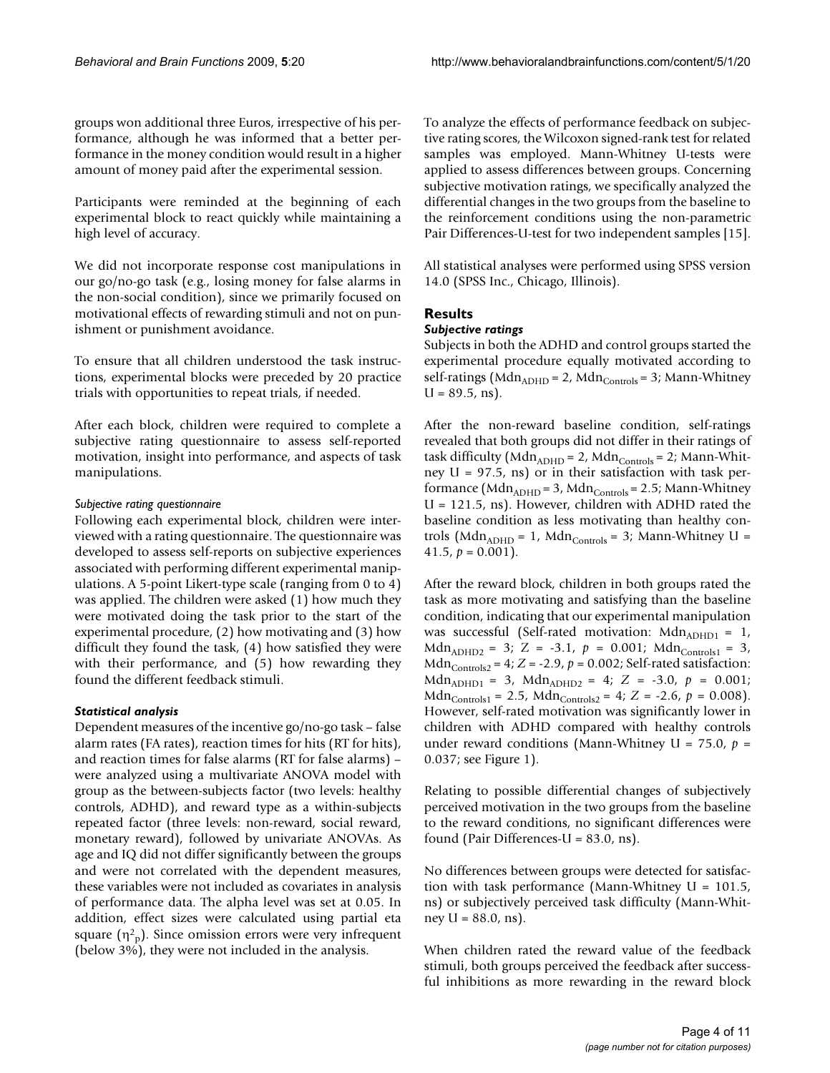groups won additional three Euros, irrespective of his performance, although he was informed that a better performance in the money condition would result in a higher amount of money paid after the experimental session.

Participants were reminded at the beginning of each experimental block to react quickly while maintaining a high level of accuracy.

We did not incorporate response cost manipulations in our go/no-go task (e.g., losing money for false alarms in the non-social condition), since we primarily focused on motivational effects of rewarding stimuli and not on punishment or punishment avoidance.

To ensure that all children understood the task instructions, experimental blocks were preceded by 20 practice trials with opportunities to repeat trials, if needed.

After each block, children were required to complete a subjective rating questionnaire to assess self-reported motivation, insight into performance, and aspects of task manipulations.

#### *Subjective rating questionnaire*

Following each experimental block, children were interviewed with a rating questionnaire. The questionnaire was developed to assess self-reports on subjective experiences associated with performing different experimental manipulations. A 5-point Likert-type scale (ranging from 0 to 4) was applied. The children were asked (1) how much they were motivated doing the task prior to the start of the experimental procedure, (2) how motivating and (3) how difficult they found the task, (4) how satisfied they were with their performance, and  $(5)$  how rewarding they found the different feedback stimuli.

#### *Statistical analysis*

Dependent measures of the incentive go/no-go task – false alarm rates (FA rates), reaction times for hits (RT for hits), and reaction times for false alarms (RT for false alarms) – were analyzed using a multivariate ANOVA model with group as the between-subjects factor (two levels: healthy controls, ADHD), and reward type as a within-subjects repeated factor (three levels: non-reward, social reward, monetary reward), followed by univariate ANOVAs. As age and IQ did not differ significantly between the groups and were not correlated with the dependent measures, these variables were not included as covariates in analysis of performance data. The alpha level was set at 0.05. In addition, effect sizes were calculated using partial eta square  $(\eta^2$ <sub>p</sub>). Since omission errors were very infrequent (below 3%), they were not included in the analysis.

To analyze the effects of performance feedback on subjective rating scores, the Wilcoxon signed-rank test for related samples was employed. Mann-Whitney U-tests were applied to assess differences between groups. Concerning subjective motivation ratings, we specifically analyzed the differential changes in the two groups from the baseline to the reinforcement conditions using the non-parametric Pair Differences-U-test for two independent samples [15].

All statistical analyses were performed using SPSS version 14.0 (SPSS Inc., Chicago, Illinois).

## **Results**

#### *Subjective ratings*

Subjects in both the ADHD and control groups started the experimental procedure equally motivated according to self-ratings ( $Mdn<sub>ADHD</sub> = 2$ ,  $Mdn<sub>Contents</sub> = 3$ ; Mann-Whitney  $U = 89.5$ , ns).

After the non-reward baseline condition, self-ratings revealed that both groups did not differ in their ratings of task difficulty (Mdn<sub>ADHD</sub> = 2, Mdn<sub>Controls</sub> = 2; Mann-Whitney  $U = 97.5$ , ns) or in their satisfaction with task performance ( $Mdn<sub>ADHD</sub> = 3$ ,  $Mdn<sub>Controls</sub> = 2.5$ ; Mann-Whitney U = 121.5, ns). However, children with ADHD rated the baseline condition as less motivating than healthy controls (Mdn<sub>ADHD</sub> = 1, Mdn<sub>Controls</sub> = 3; Mann-Whitney U = 41.5,  $p = 0.001$ ).

After the reward block, children in both groups rated the task as more motivating and satisfying than the baseline condition, indicating that our experimental manipulation was successful (Self-rated motivation:  $Mdn<sub>ADHD1</sub> = 1$ ,  $Mdn_{ADHD2} = 3$ ; Z = -3.1,  $p = 0.001$ ;  $Mdn_{\text{Controls1}} = 3$ , Mdn<sub>Controls2</sub> = 4;  $Z = -2.9$ ,  $p = 0.002$ ; Self-rated satisfaction:  $Mdn_{ADHD1} = 3$ ,  $Mdn_{ADHD2} = 4$ ;  $Z = -3.0$ ,  $p = 0.001$ ;  $Mdn_{\text{Controls1}} = 2.5$ ,  $Mdn_{\text{Controls2}} = 4$ ;  $Z = -2.6$ ,  $p = 0.008$ . However, self-rated motivation was significantly lower in children with ADHD compared with healthy controls under reward conditions (Mann-Whitney U = 75.0, *p* = 0.037; see Figure 1).

Relating to possible differential changes of subjectively perceived motivation in the two groups from the baseline to the reward conditions, no significant differences were found (Pair Differences-U = 83.0, ns).

No differences between groups were detected for satisfaction with task performance (Mann-Whitney  $U = 101.5$ , ns) or subjectively perceived task difficulty (Mann-Whitney  $U = 88.0$ , ns).

When children rated the reward value of the feedback stimuli, both groups perceived the feedback after successful inhibitions as more rewarding in the reward block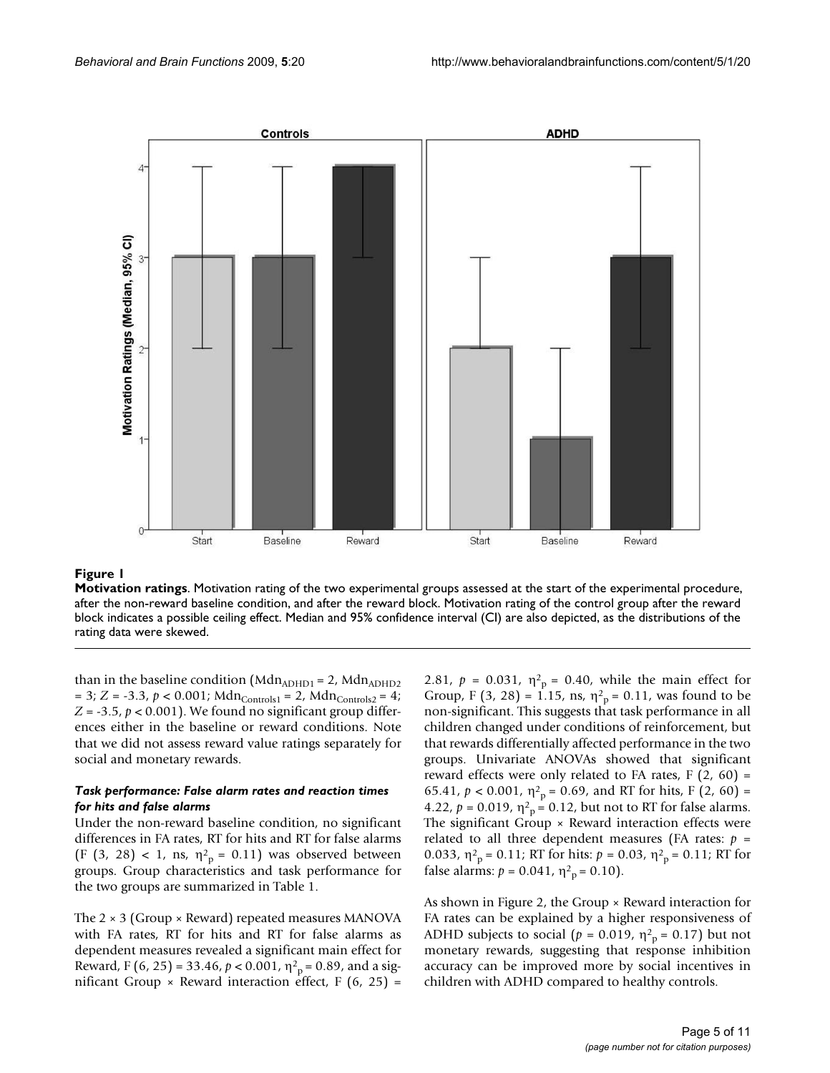

#### **Figure 1**

**Motivation ratings**. Motivation rating of the two experimental groups assessed at the start of the experimental procedure, after the non-reward baseline condition, and after the reward block. Motivation rating of the control group after the reward block indicates a possible ceiling effect. Median and 95% confidence interval (CI) are also depicted, as the distributions of the rating data were skewed.

than in the baseline condition (Mdn<sub>ADHD1</sub> = 2, Mdn<sub>ADHD2</sub>  $= 3; Z = -3.3, p < 0.001; Mdn_{\text{Controls1}} = 2, Mdn_{\text{Controls2}} = 4;$  $Z = -3.5$ ,  $p < 0.001$ ). We found no significant group differences either in the baseline or reward conditions. Note that we did not assess reward value ratings separately for social and monetary rewards.

#### *Task performance: False alarm rates and reaction times for hits and false alarms*

Under the non-reward baseline condition, no significant differences in FA rates, RT for hits and RT for false alarms  $(F (3, 28) < 1, \text{ns}, \eta^2 \text{p} = 0.11)$  was observed between groups. Group characteristics and task performance for the two groups are summarized in Table 1.

The  $2 \times 3$  (Group  $\times$  Reward) repeated measures MANOVA with FA rates, RT for hits and RT for false alarms as dependent measures revealed a significant main effect for Reward, F (6, 25) = 33.46,  $p < 0.001$ ,  $\eta_{\text{p}}^2 = 0.89$ , and a significant Group  $\times$  Reward interaction effect, F (6, 25) =

2.81,  $p = 0.031$ ,  $\eta_{p}^2 = 0.40$ , while the main effect for Group, F (3, 28) = 1.15, ns,  $\eta_{\text{p}}^2 = 0.11$ , was found to be non-significant. This suggests that task performance in all children changed under conditions of reinforcement, but that rewards differentially affected performance in the two groups. Univariate ANOVAs showed that significant reward effects were only related to FA rates,  $F(2, 60) =$ 65.41,  $p < 0.001$ ,  $\eta^2$ <sub>p</sub> = 0.69, and RT for hits, F (2, 60) = 4.22,  $p = 0.019$ ,  $\eta_{\text{p}}^2 = 0.12$ , but not to RT for false alarms. The significant Group × Reward interaction effects were related to all three dependent measures (FA rates:  $p =$ 0.033,  $\eta^2$ <sub>p</sub> = 0.11; RT for hits:  $p = 0.03$ ,  $\eta^2$ <sub>p</sub> = 0.11; RT for false alarms:  $p = 0.041$ ,  $\eta_{\text{p}}^2 = 0.10$ ).

As shown in Figure 2, the Group × Reward interaction for FA rates can be explained by a higher responsiveness of ADHD subjects to social ( $p = 0.019$ ,  $\eta_{p}^2 = 0.17$ ) but not monetary rewards, suggesting that response inhibition accuracy can be improved more by social incentives in children with ADHD compared to healthy controls.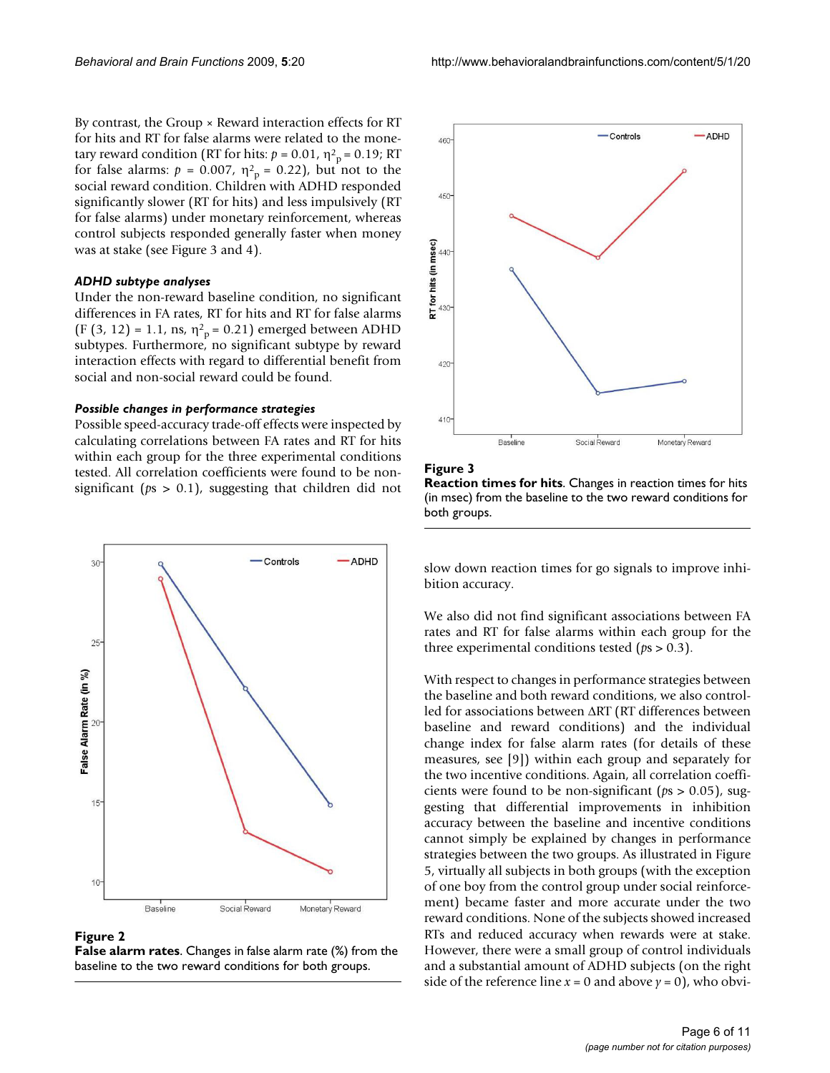By contrast, the Group × Reward interaction effects for RT for hits and RT for false alarms were related to the monetary reward condition (RT for hits:  $p = 0.01$ ,  $\eta^2$ <sub>p</sub> = 0.19; RT for false alarms:  $p = 0.007$ ,  $\eta_{\text{p}}^2 = 0.22$ ), but not to the social reward condition. Children with ADHD responded significantly slower (RT for hits) and less impulsively (RT for false alarms) under monetary reinforcement, whereas control subjects responded generally faster when money was at stake (see Figure 3 and 4).

#### *ADHD subtype analyses*

Under the non-reward baseline condition, no significant differences in FA rates, RT for hits and RT for false alarms (F (3, 12) = 1.1, ns, η<sup>2</sup><sub>p</sub> = 0.21) emerged between ADHD subtypes. Furthermore, no significant subtype by reward interaction effects with regard to differential benefit from social and non-social reward could be found.

#### *Possible changes in performance strategies*

Possible speed-accuracy trade-off effects were inspected by calculating correlations between FA rates and RT for hits within each group for the three experimental conditions tested. All correlation coefficients were found to be nonsignificant ( $ps > 0.1$ ), suggesting that children did not



#### **Figure 2**

**False alarm rates**. Changes in false alarm rate (%) from the baseline to the two reward conditions for both groups.



#### **Figure 3**

**Reaction times for hits**. Changes in reaction times for hits (in msec) from the baseline to the two reward conditions for both groups.

slow down reaction times for go signals to improve inhibition accuracy.

We also did not find significant associations between FA rates and RT for false alarms within each group for the three experimental conditions tested (*p*s > 0.3).

With respect to changes in performance strategies between the baseline and both reward conditions, we also controlled for associations between ΔRT (RT differences between baseline and reward conditions) and the individual change index for false alarm rates (for details of these measures, see [9]) within each group and separately for the two incentive conditions. Again, all correlation coefficients were found to be non-significant (*p*s > 0.05), suggesting that differential improvements in inhibition accuracy between the baseline and incentive conditions cannot simply be explained by changes in performance strategies between the two groups. As illustrated in Figure 5, virtually all subjects in both groups (with the exception of one boy from the control group under social reinforcement) became faster and more accurate under the two reward conditions. None of the subjects showed increased RTs and reduced accuracy when rewards were at stake. However, there were a small group of control individuals and a substantial amount of ADHD subjects (on the right side of the reference line  $x = 0$  and above  $y = 0$ , who obvi-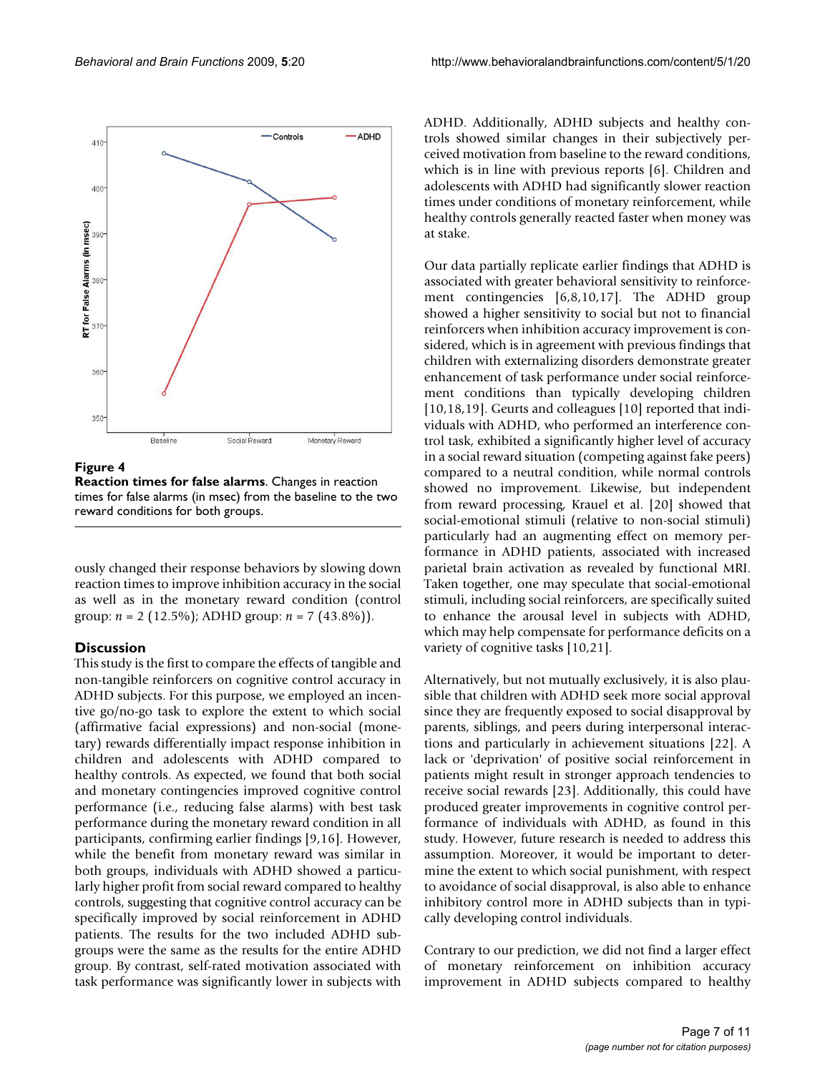

**Figure 4 Reaction times for false alarms**. Changes in reaction times for false alarms (in msec) from the baseline to the two reward conditions for both groups.

ously changed their response behaviors by slowing down reaction times to improve inhibition accuracy in the social as well as in the monetary reward condition (control group: *n* = 2 (12.5%); ADHD group: *n* = 7 (43.8%)).

#### **Discussion**

This study is the first to compare the effects of tangible and non-tangible reinforcers on cognitive control accuracy in ADHD subjects. For this purpose, we employed an incentive go/no-go task to explore the extent to which social (affirmative facial expressions) and non-social (monetary) rewards differentially impact response inhibition in children and adolescents with ADHD compared to healthy controls. As expected, we found that both social and monetary contingencies improved cognitive control performance (i.e., reducing false alarms) with best task performance during the monetary reward condition in all participants, confirming earlier findings [9,16]. However, while the benefit from monetary reward was similar in both groups, individuals with ADHD showed a particularly higher profit from social reward compared to healthy controls, suggesting that cognitive control accuracy can be specifically improved by social reinforcement in ADHD patients. The results for the two included ADHD subgroups were the same as the results for the entire ADHD group. By contrast, self-rated motivation associated with task performance was significantly lower in subjects with

ADHD. Additionally, ADHD subjects and healthy controls showed similar changes in their subjectively perceived motivation from baseline to the reward conditions, which is in line with previous reports [6]. Children and adolescents with ADHD had significantly slower reaction times under conditions of monetary reinforcement, while healthy controls generally reacted faster when money was at stake.

Our data partially replicate earlier findings that ADHD is associated with greater behavioral sensitivity to reinforcement contingencies [6,8,10,17]. The ADHD group showed a higher sensitivity to social but not to financial reinforcers when inhibition accuracy improvement is considered, which is in agreement with previous findings that children with externalizing disorders demonstrate greater enhancement of task performance under social reinforcement conditions than typically developing children [10,18,19]. Geurts and colleagues [10] reported that individuals with ADHD, who performed an interference control task, exhibited a significantly higher level of accuracy in a social reward situation (competing against fake peers) compared to a neutral condition, while normal controls showed no improvement. Likewise, but independent from reward processing, Krauel et al. [20] showed that social-emotional stimuli (relative to non-social stimuli) particularly had an augmenting effect on memory performance in ADHD patients, associated with increased parietal brain activation as revealed by functional MRI. Taken together, one may speculate that social-emotional stimuli, including social reinforcers, are specifically suited to enhance the arousal level in subjects with ADHD, which may help compensate for performance deficits on a variety of cognitive tasks [10,21].

Alternatively, but not mutually exclusively, it is also plausible that children with ADHD seek more social approval since they are frequently exposed to social disapproval by parents, siblings, and peers during interpersonal interactions and particularly in achievement situations [22]. A lack or 'deprivation' of positive social reinforcement in patients might result in stronger approach tendencies to receive social rewards [23]. Additionally, this could have produced greater improvements in cognitive control performance of individuals with ADHD, as found in this study. However, future research is needed to address this assumption. Moreover, it would be important to determine the extent to which social punishment, with respect to avoidance of social disapproval, is also able to enhance inhibitory control more in ADHD subjects than in typically developing control individuals.

Contrary to our prediction, we did not find a larger effect of monetary reinforcement on inhibition accuracy improvement in ADHD subjects compared to healthy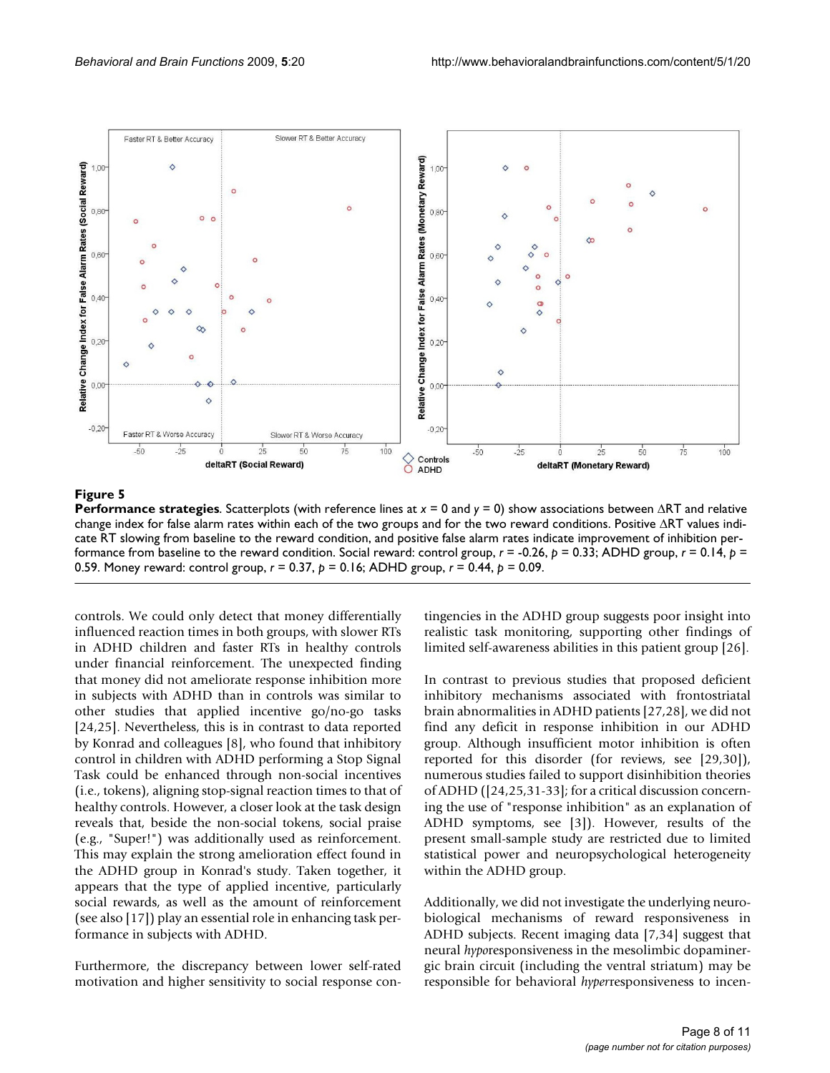

#### **Figure 5**

**Performance strategies**. Scatterplots (with reference lines at *x* = 0 and *y* = 0) show associations between ΔRT and relative change index for false alarm rates within each of the two groups and for the two reward conditions. Positive ΔRT values indicate RT slowing from baseline to the reward condition, and positive false alarm rates indicate improvement of inhibition performance from baseline to the reward condition. Social reward: control group,  $r = -0.26$ ,  $p = 0.33$ ; ADHD group,  $r = 0.14$ ,  $p =$ 0.59. Money reward: control group, *r* = 0.37, *p* = 0.16; ADHD group, *r* = 0.44, *p* = 0.09.

controls. We could only detect that money differentially influenced reaction times in both groups, with slower RTs in ADHD children and faster RTs in healthy controls under financial reinforcement. The unexpected finding that money did not ameliorate response inhibition more in subjects with ADHD than in controls was similar to other studies that applied incentive go/no-go tasks [24,25]. Nevertheless, this is in contrast to data reported by Konrad and colleagues [8], who found that inhibitory control in children with ADHD performing a Stop Signal Task could be enhanced through non-social incentives (i.e., tokens), aligning stop-signal reaction times to that of healthy controls. However, a closer look at the task design reveals that, beside the non-social tokens, social praise (e.g., "Super!") was additionally used as reinforcement. This may explain the strong amelioration effect found in the ADHD group in Konrad's study. Taken together, it appears that the type of applied incentive, particularly social rewards, as well as the amount of reinforcement (see also [17]) play an essential role in enhancing task performance in subjects with ADHD.

Furthermore, the discrepancy between lower self-rated motivation and higher sensitivity to social response contingencies in the ADHD group suggests poor insight into realistic task monitoring, supporting other findings of limited self-awareness abilities in this patient group [26].

In contrast to previous studies that proposed deficient inhibitory mechanisms associated with frontostriatal brain abnormalities in ADHD patients [27,28], we did not find any deficit in response inhibition in our ADHD group. Although insufficient motor inhibition is often reported for this disorder (for reviews, see [29,30]), numerous studies failed to support disinhibition theories of ADHD ([24,25,31-33]; for a critical discussion concerning the use of "response inhibition" as an explanation of ADHD symptoms, see [3]). However, results of the present small-sample study are restricted due to limited statistical power and neuropsychological heterogeneity within the ADHD group.

Additionally, we did not investigate the underlying neurobiological mechanisms of reward responsiveness in ADHD subjects. Recent imaging data [7,34] suggest that neural *hypo*responsiveness in the mesolimbic dopaminergic brain circuit (including the ventral striatum) may be responsible for behavioral *hyper*responsiveness to incen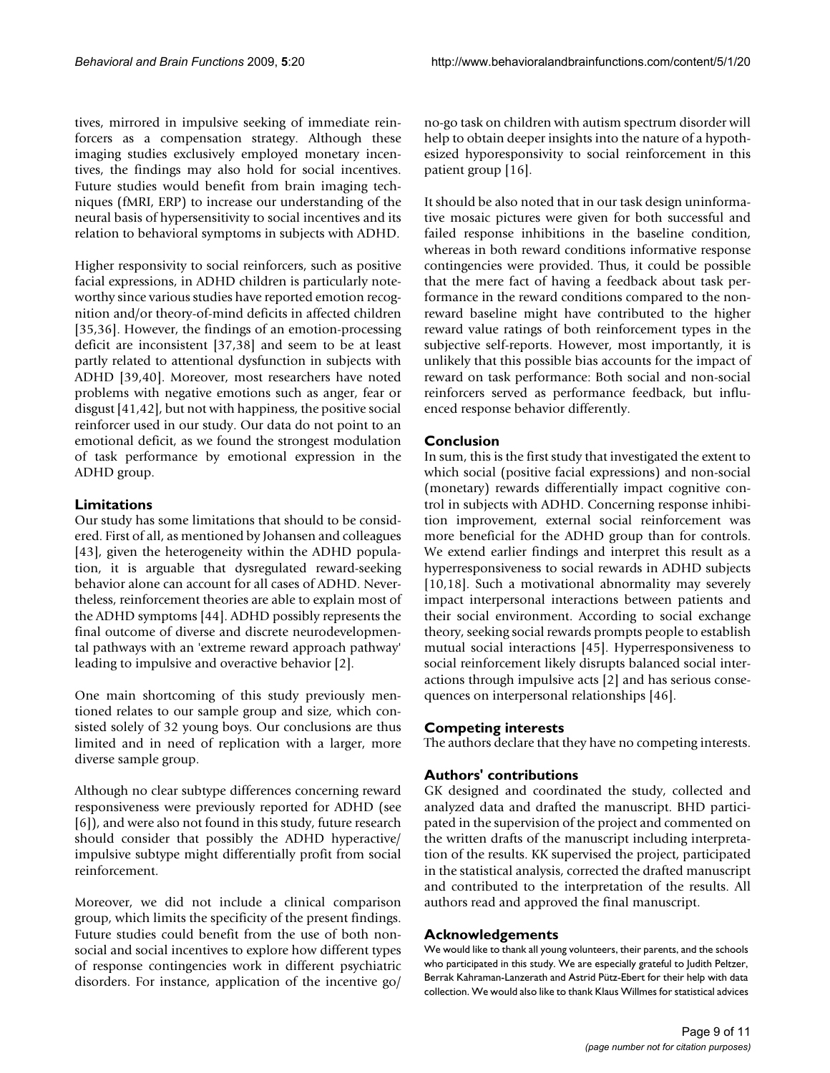tives, mirrored in impulsive seeking of immediate reinforcers as a compensation strategy. Although these imaging studies exclusively employed monetary incentives, the findings may also hold for social incentives. Future studies would benefit from brain imaging techniques (fMRI, ERP) to increase our understanding of the neural basis of hypersensitivity to social incentives and its relation to behavioral symptoms in subjects with ADHD.

Higher responsivity to social reinforcers, such as positive facial expressions, in ADHD children is particularly noteworthy since various studies have reported emotion recognition and/or theory-of-mind deficits in affected children [35,36]. However, the findings of an emotion-processing deficit are inconsistent [37,38] and seem to be at least partly related to attentional dysfunction in subjects with ADHD [39,40]. Moreover, most researchers have noted problems with negative emotions such as anger, fear or disgust [41,42], but not with happiness, the positive social reinforcer used in our study. Our data do not point to an emotional deficit, as we found the strongest modulation of task performance by emotional expression in the ADHD group.

#### **Limitations**

Our study has some limitations that should to be considered. First of all, as mentioned by Johansen and colleagues [43], given the heterogeneity within the ADHD population, it is arguable that dysregulated reward-seeking behavior alone can account for all cases of ADHD. Nevertheless, reinforcement theories are able to explain most of the ADHD symptoms [44]. ADHD possibly represents the final outcome of diverse and discrete neurodevelopmental pathways with an 'extreme reward approach pathway' leading to impulsive and overactive behavior [2].

One main shortcoming of this study previously mentioned relates to our sample group and size, which consisted solely of 32 young boys. Our conclusions are thus limited and in need of replication with a larger, more diverse sample group.

Although no clear subtype differences concerning reward responsiveness were previously reported for ADHD (see [6]), and were also not found in this study, future research should consider that possibly the ADHD hyperactive/ impulsive subtype might differentially profit from social reinforcement.

Moreover, we did not include a clinical comparison group, which limits the specificity of the present findings. Future studies could benefit from the use of both nonsocial and social incentives to explore how different types of response contingencies work in different psychiatric disorders. For instance, application of the incentive go/

no-go task on children with autism spectrum disorder will help to obtain deeper insights into the nature of a hypothesized hyporesponsivity to social reinforcement in this patient group [16].

It should be also noted that in our task design uninformative mosaic pictures were given for both successful and failed response inhibitions in the baseline condition, whereas in both reward conditions informative response contingencies were provided. Thus, it could be possible that the mere fact of having a feedback about task performance in the reward conditions compared to the nonreward baseline might have contributed to the higher reward value ratings of both reinforcement types in the subjective self-reports. However, most importantly, it is unlikely that this possible bias accounts for the impact of reward on task performance: Both social and non-social reinforcers served as performance feedback, but influenced response behavior differently.

#### **Conclusion**

In sum, this is the first study that investigated the extent to which social (positive facial expressions) and non-social (monetary) rewards differentially impact cognitive control in subjects with ADHD. Concerning response inhibition improvement, external social reinforcement was more beneficial for the ADHD group than for controls. We extend earlier findings and interpret this result as a hyperresponsiveness to social rewards in ADHD subjects [10,18]. Such a motivational abnormality may severely impact interpersonal interactions between patients and their social environment. According to social exchange theory, seeking social rewards prompts people to establish mutual social interactions [45]. Hyperresponsiveness to social reinforcement likely disrupts balanced social interactions through impulsive acts [2] and has serious consequences on interpersonal relationships [46].

#### **Competing interests**

The authors declare that they have no competing interests.

### **Authors' contributions**

GK designed and coordinated the study, collected and analyzed data and drafted the manuscript. BHD participated in the supervision of the project and commented on the written drafts of the manuscript including interpretation of the results. KK supervised the project, participated in the statistical analysis, corrected the drafted manuscript and contributed to the interpretation of the results. All authors read and approved the final manuscript.

#### **Acknowledgements**

We would like to thank all young volunteers, their parents, and the schools who participated in this study. We are especially grateful to Judith Peltzer, Berrak Kahraman-Lanzerath and Astrid Pütz-Ebert for their help with data collection. We would also like to thank Klaus Willmes for statistical advices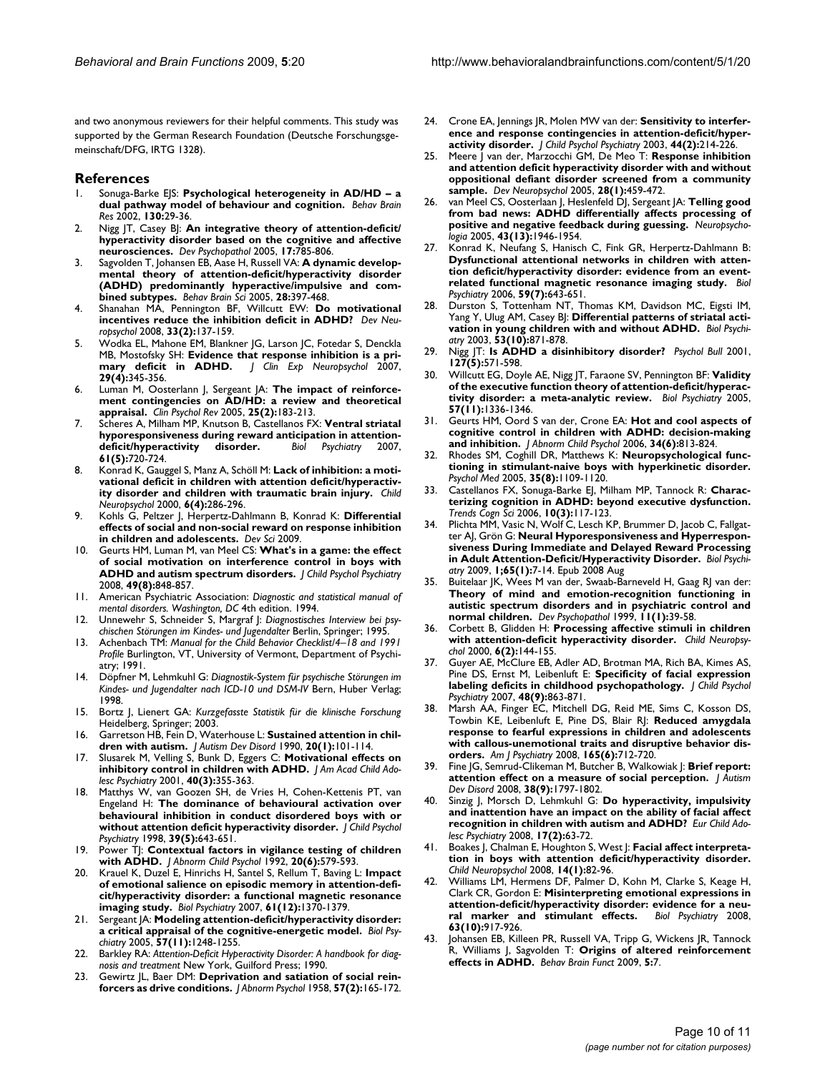and two anonymous reviewers for their helpful comments. This study was supported by the German Research Foundation (Deutsche Forschungsgemeinschaft/DFG, IRTG 1328).

#### **References**

- 1. Sonuga-Barke EJS: **[Psychological heterogeneity in AD/HD a](http://www.ncbi.nlm.nih.gov/entrez/query.fcgi?cmd=Retrieve&db=PubMed&dopt=Abstract&list_uids=11864715) [dual pathway model of behaviour and cognition.](http://www.ncbi.nlm.nih.gov/entrez/query.fcgi?cmd=Retrieve&db=PubMed&dopt=Abstract&list_uids=11864715)** *Behav Brain Res* 2002, **130:**29-36.
- 2. Nigg JT, Casey BJ: **[An integrative theory of attention-deficit/](http://www.ncbi.nlm.nih.gov/entrez/query.fcgi?cmd=Retrieve&db=PubMed&dopt=Abstract&list_uids=16262992) [hyperactivity disorder based on the cognitive and affective](http://www.ncbi.nlm.nih.gov/entrez/query.fcgi?cmd=Retrieve&db=PubMed&dopt=Abstract&list_uids=16262992) [neurosciences.](http://www.ncbi.nlm.nih.gov/entrez/query.fcgi?cmd=Retrieve&db=PubMed&dopt=Abstract&list_uids=16262992)** *Dev Psychopathol* 2005, **17:**785-806.
- 3. Sagvolden T, Johansen EB, Aase H, Russell VA: **[A dynamic develop](http://www.ncbi.nlm.nih.gov/entrez/query.fcgi?cmd=Retrieve&db=PubMed&dopt=Abstract&list_uids=16209748)[mental theory of attention-deficit/hyperactivity disorder](http://www.ncbi.nlm.nih.gov/entrez/query.fcgi?cmd=Retrieve&db=PubMed&dopt=Abstract&list_uids=16209748) (ADHD) predominantly hyperactive/impulsive and com[bined subtypes.](http://www.ncbi.nlm.nih.gov/entrez/query.fcgi?cmd=Retrieve&db=PubMed&dopt=Abstract&list_uids=16209748)** *Behav Brain Sci* 2005, **28:**397-468.
- 4. Shanahan MA, Pennington BF, Willcutt EW: **[Do motivational](http://www.ncbi.nlm.nih.gov/entrez/query.fcgi?cmd=Retrieve&db=PubMed&dopt=Abstract&list_uids=18443974) [incentives reduce the inhibition deficit in ADHD?](http://www.ncbi.nlm.nih.gov/entrez/query.fcgi?cmd=Retrieve&db=PubMed&dopt=Abstract&list_uids=18443974)** *Dev Neuropsychol* 2008, **33(2):**137-159.
- 5. Wodka EL, Mahone EM, Blankner JG, Larson JC, Fotedar S, Denckla MB, Mostofsky SH: **Evidence that response inhibition is a pri-<br>
<b>mary deficit in ADHD.** J Clin Exp Neuropsychol 2007, **[mary deficit in ADHD.](http://www.ncbi.nlm.nih.gov/entrez/query.fcgi?cmd=Retrieve&db=PubMed&dopt=Abstract&list_uids=17497558)** *J Clin Exp Neuropsychol* 2007, **29(4):**345-356.
- 6. Luman M, Oosterlann J, Sergeant JA: **[The impact of reinforce](http://www.ncbi.nlm.nih.gov/entrez/query.fcgi?cmd=Retrieve&db=PubMed&dopt=Abstract&list_uids=15642646)[ment contingencies on AD/HD: a review and theoretical](http://www.ncbi.nlm.nih.gov/entrez/query.fcgi?cmd=Retrieve&db=PubMed&dopt=Abstract&list_uids=15642646) [appraisal.](http://www.ncbi.nlm.nih.gov/entrez/query.fcgi?cmd=Retrieve&db=PubMed&dopt=Abstract&list_uids=15642646)** *Clin Psychol Rev* 2005, **25(2):**183-213.
- 7. Scheres A, Milham MP, Knutson B, Castellanos FX: **[Ventral striatal](http://www.ncbi.nlm.nih.gov/entrez/query.fcgi?cmd=Retrieve&db=PubMed&dopt=Abstract&list_uids=16950228) [hyporesponsiveness during reward anticipation in attention](http://www.ncbi.nlm.nih.gov/entrez/query.fcgi?cmd=Retrieve&db=PubMed&dopt=Abstract&list_uids=16950228)[deficit/hyperactivity disorder.](http://www.ncbi.nlm.nih.gov/entrez/query.fcgi?cmd=Retrieve&db=PubMed&dopt=Abstract&list_uids=16950228)** *Biol Psychiatry* 2007, **61(5):**720-724.
- 8. Konrad K, Gauggel S, Manz A, Schöll M: **[Lack of inhibition: a moti](http://www.ncbi.nlm.nih.gov/entrez/query.fcgi?cmd=Retrieve&db=PubMed&dopt=Abstract&list_uids=11992192)[vational deficit in children with attention deficit/hyperactiv](http://www.ncbi.nlm.nih.gov/entrez/query.fcgi?cmd=Retrieve&db=PubMed&dopt=Abstract&list_uids=11992192)[ity disorder and children with traumatic brain injury.](http://www.ncbi.nlm.nih.gov/entrez/query.fcgi?cmd=Retrieve&db=PubMed&dopt=Abstract&list_uids=11992192)** *Child Neuropsychol* 2000, **6(4):**286-296.
- 9. Kohls G, Peltzer J, Herpertz-Dahlmann B, Konrad K: **Differential effects of social and non-social reward on response inhibition in children and adolescents.** *Dev Sci* 2009.
- 10. Geurts HM, Luman M, van Meel CS: **[What's in a game: the effect](http://www.ncbi.nlm.nih.gov/entrez/query.fcgi?cmd=Retrieve&db=PubMed&dopt=Abstract&list_uids=18564068) [of social motivation on interference control in boys with](http://www.ncbi.nlm.nih.gov/entrez/query.fcgi?cmd=Retrieve&db=PubMed&dopt=Abstract&list_uids=18564068) [ADHD and autism spectrum disorders.](http://www.ncbi.nlm.nih.gov/entrez/query.fcgi?cmd=Retrieve&db=PubMed&dopt=Abstract&list_uids=18564068)** *J Child Psychol Psychiatry* 2008, **49(8):**848-857.
- 11. American Psychiatric Association: *Diagnostic and statistical manual of mental disorders. Washington, DC* 4th edition. 1994.
- 12. Unnewehr S, Schneider S, Margraf J: *Diagnostisches Interview bei psychischen Störungen im Kindes- und Jugendalter* Berlin, Springer; 1995.
- 13. Achenbach TM: *Manual for the Child Behavior Checklist/4–18 and 1991 Profile* Burlington, VT, University of Vermont, Department of Psychiatry; 1991.
- 14. Döpfner M, Lehmkuhl G: *Diagnostik-System für psychische Störungen im Kindes- und Jugendalter nach ICD-10 und DSM-IV* Bern, Huber Verlag; 1998.
- 15. Bortz J, Lienert GA: *Kurzgefasste Statistik für die klinische Forschung* Heidelberg, Springer; 2003.
- Garretson HB, Fein D, Waterhouse L: [Sustained attention in chil](http://www.ncbi.nlm.nih.gov/entrez/query.fcgi?cmd=Retrieve&db=PubMed&dopt=Abstract&list_uids=2324050)**[dren with autism.](http://www.ncbi.nlm.nih.gov/entrez/query.fcgi?cmd=Retrieve&db=PubMed&dopt=Abstract&list_uids=2324050)** *J Autism Dev Disord* 1990, **20(1):**101-114.
- 17. Slusarek M, Velling S, Bunk D, Eggers C: **[Motivational effects on](http://www.ncbi.nlm.nih.gov/entrez/query.fcgi?cmd=Retrieve&db=PubMed&dopt=Abstract&list_uids=11288778) [inhibitory control in children with ADHD.](http://www.ncbi.nlm.nih.gov/entrez/query.fcgi?cmd=Retrieve&db=PubMed&dopt=Abstract&list_uids=11288778)** *J Am Acad Child Adolesc Psychiatry* 2001, **40(3):**355-363.
- 18. Matthys W, van Goozen SH, de Vries H, Cohen-Kettenis PT, van Engeland H: **[The dominance of behavioural activation over](http://www.ncbi.nlm.nih.gov/entrez/query.fcgi?cmd=Retrieve&db=PubMed&dopt=Abstract&list_uids=9690928) [behavioural inhibition in conduct disordered boys with or](http://www.ncbi.nlm.nih.gov/entrez/query.fcgi?cmd=Retrieve&db=PubMed&dopt=Abstract&list_uids=9690928) [without attention deficit hyperactivity disorder.](http://www.ncbi.nlm.nih.gov/entrez/query.fcgi?cmd=Retrieve&db=PubMed&dopt=Abstract&list_uids=9690928)** *J Child Psychol Psychiatry* 1998, **39(5):**643-651.
- Power TJ: **[Contextual factors in vigilance testing of children](http://www.ncbi.nlm.nih.gov/entrez/query.fcgi?cmd=Retrieve&db=PubMed&dopt=Abstract&list_uids=1487598) [with ADHD.](http://www.ncbi.nlm.nih.gov/entrez/query.fcgi?cmd=Retrieve&db=PubMed&dopt=Abstract&list_uids=1487598)** *J Abnorm Child Psychol* 1992, **20(6):**579-593.
- 20. Krauel K, Duzel E, Hinrichs H, Santel S, Rellum T, Baving L: **[Impact](http://www.ncbi.nlm.nih.gov/entrez/query.fcgi?cmd=Retrieve&db=PubMed&dopt=Abstract&list_uids=17210138) [of emotional salience on episodic memory in attention-defi](http://www.ncbi.nlm.nih.gov/entrez/query.fcgi?cmd=Retrieve&db=PubMed&dopt=Abstract&list_uids=17210138)cit/hyperactivity disorder: a functional magnetic resonance [imaging study.](http://www.ncbi.nlm.nih.gov/entrez/query.fcgi?cmd=Retrieve&db=PubMed&dopt=Abstract&list_uids=17210138)** *Biol Psychiatry* 2007, **61(12):**1370-1379.
- 21. Sergeant JA: **[Modeling attention-deficit/hyperactivity disorder:](http://www.ncbi.nlm.nih.gov/entrez/query.fcgi?cmd=Retrieve&db=PubMed&dopt=Abstract&list_uids=15949995) [a critical appraisal of the cognitive-energetic model.](http://www.ncbi.nlm.nih.gov/entrez/query.fcgi?cmd=Retrieve&db=PubMed&dopt=Abstract&list_uids=15949995)** *Biol Psychiatry* 2005, **57(11):**1248-1255.
- 22. Barkley RA: *Attention-Deficit Hyperactivity Disorder: A handbook for diagnosis and treatment* New York, Guilford Press; 1990.
- 23. Gewirtz JL, Baer DM: **[Deprivation and satiation of social rein](http://www.ncbi.nlm.nih.gov/entrez/query.fcgi?cmd=Retrieve&db=PubMed&dopt=Abstract&list_uids=13575042)[forcers as drive conditions.](http://www.ncbi.nlm.nih.gov/entrez/query.fcgi?cmd=Retrieve&db=PubMed&dopt=Abstract&list_uids=13575042)** *J Abnorm Psychol* 1958, **57(2):**165-172.
- 24. Crone EA, Jennings JR, Molen MW van der: **[Sensitivity to interfer](http://www.ncbi.nlm.nih.gov/entrez/query.fcgi?cmd=Retrieve&db=PubMed&dopt=Abstract&list_uids=12587858)[ence and response contingencies in attention-deficit/hyper](http://www.ncbi.nlm.nih.gov/entrez/query.fcgi?cmd=Retrieve&db=PubMed&dopt=Abstract&list_uids=12587858)[activity disorder.](http://www.ncbi.nlm.nih.gov/entrez/query.fcgi?cmd=Retrieve&db=PubMed&dopt=Abstract&list_uids=12587858)** *J Child Psychol Psychiatry* 2003, **44(2):**214-226.
- 25. Meere J van der, Marzocchi GM, De Meo T: **[Response inhibition](http://www.ncbi.nlm.nih.gov/entrez/query.fcgi?cmd=Retrieve&db=PubMed&dopt=Abstract&list_uids=15992251) [and attention deficit hyperactivity disorder with and without](http://www.ncbi.nlm.nih.gov/entrez/query.fcgi?cmd=Retrieve&db=PubMed&dopt=Abstract&list_uids=15992251) oppositional defiant disorder screened from a community [sample.](http://www.ncbi.nlm.nih.gov/entrez/query.fcgi?cmd=Retrieve&db=PubMed&dopt=Abstract&list_uids=15992251)** *Dev Neuropsychol* 2005, **28(1):**459-472.
- 26. van Meel CS, Oosterlaan J, Heslenfeld DJ, Sergeant JA: **[Telling good](http://www.ncbi.nlm.nih.gov/entrez/query.fcgi?cmd=Retrieve&db=PubMed&dopt=Abstract&list_uids=15878183) [from bad news: ADHD differentially affects processing of](http://www.ncbi.nlm.nih.gov/entrez/query.fcgi?cmd=Retrieve&db=PubMed&dopt=Abstract&list_uids=15878183) [positive and negative feedback during guessing.](http://www.ncbi.nlm.nih.gov/entrez/query.fcgi?cmd=Retrieve&db=PubMed&dopt=Abstract&list_uids=15878183)** *Neuropsychologia* 2005, **43(13):**1946-1954.
- Konrad K, Neufang S, Hanisch C, Fink GR, Herpertz-Dahlmann B: **[Dysfunctional attentional networks in children with atten](http://www.ncbi.nlm.nih.gov/entrez/query.fcgi?cmd=Retrieve&db=PubMed&dopt=Abstract&list_uids=16197925)tion deficit/hyperactivity disorder: evidence from an event[related functional magnetic resonance imaging study.](http://www.ncbi.nlm.nih.gov/entrez/query.fcgi?cmd=Retrieve&db=PubMed&dopt=Abstract&list_uids=16197925)** *Biol Psychiatry* 2006, **59(7):**643-651.
- Durston S, Tottenham NT, Thomas KM, Davidson MC, Eigsti IM, Yang Y, Ulug AM, Casey BJ: **[Differential patterns of striatal acti](http://www.ncbi.nlm.nih.gov/entrez/query.fcgi?cmd=Retrieve&db=PubMed&dopt=Abstract&list_uids=12742674)[vation in young children with and without ADHD.](http://www.ncbi.nlm.nih.gov/entrez/query.fcgi?cmd=Retrieve&db=PubMed&dopt=Abstract&list_uids=12742674)** *Biol Psychiatry* 2003, **53(10):**871-878.
- 29. Nigg JT: **[Is ADHD a disinhibitory disorder?](http://www.ncbi.nlm.nih.gov/entrez/query.fcgi?cmd=Retrieve&db=PubMed&dopt=Abstract&list_uids=11548968)** *Psychol Bull* 2001, **127(5):**571-598.
- 30. Willcutt EG, Doyle AE, Nigg JT, Faraone SV, Pennington BF: **[Validity](http://www.ncbi.nlm.nih.gov/entrez/query.fcgi?cmd=Retrieve&db=PubMed&dopt=Abstract&list_uids=15950006) [of the executive function theory of attention-deficit/hyperac](http://www.ncbi.nlm.nih.gov/entrez/query.fcgi?cmd=Retrieve&db=PubMed&dopt=Abstract&list_uids=15950006)[tivity disorder: a meta-analytic review.](http://www.ncbi.nlm.nih.gov/entrez/query.fcgi?cmd=Retrieve&db=PubMed&dopt=Abstract&list_uids=15950006)** *Biol Psychiatry* 2005, **57(11):**1336-1346.
- 31. Geurts HM, Oord S van der, Crone EA: **[Hot and cool aspects of](http://www.ncbi.nlm.nih.gov/entrez/query.fcgi?cmd=Retrieve&db=PubMed&dopt=Abstract&list_uids=17066221) [cognitive control in children with ADHD: decision-making](http://www.ncbi.nlm.nih.gov/entrez/query.fcgi?cmd=Retrieve&db=PubMed&dopt=Abstract&list_uids=17066221) [and inhibition.](http://www.ncbi.nlm.nih.gov/entrez/query.fcgi?cmd=Retrieve&db=PubMed&dopt=Abstract&list_uids=17066221)** *J Abnorm Child Psychol* 2006, **34(6):**813-824.
- 32. Rhodes SM, Coghill DR, Matthews K: **[Neuropsychological func](http://www.ncbi.nlm.nih.gov/entrez/query.fcgi?cmd=Retrieve&db=PubMed&dopt=Abstract&list_uids=16116937)[tioning in stimulant-naive boys with hyperkinetic disorder.](http://www.ncbi.nlm.nih.gov/entrez/query.fcgi?cmd=Retrieve&db=PubMed&dopt=Abstract&list_uids=16116937)** *Psychol Med* 2005, **35(8):**1109-1120.
- 33. Castellanos FX, Sonuga-Barke EJ, Milham MP, Tannock R: **[Charac](http://www.ncbi.nlm.nih.gov/entrez/query.fcgi?cmd=Retrieve&db=PubMed&dopt=Abstract&list_uids=16460990)[terizing cognition in ADHD: beyond executive dysfunction.](http://www.ncbi.nlm.nih.gov/entrez/query.fcgi?cmd=Retrieve&db=PubMed&dopt=Abstract&list_uids=16460990)** *Trends Cogn Sci* 2006, **10(3):**117-123.
- 34. Plichta MM, Vasic N, Wolf C, Lesch KP, Brummer D, Jacob C, Fallgatter AJ, Grön G: **Neural Hyporesponsiveness and Hyperresponsiveness During Immediate and Delayed Reward Processing in Adult Attention-Deficit/Hyperactivity Disorder.** *Biol Psychiatry* 2009, **1;65(1):**7-14. Epub 2008 Aug
- 35. Buitelaar JK, Wees M van der, Swaab-Barneveld H, Gaag RJ van der: **[Theory of mind and emotion-recognition functioning in](http://www.ncbi.nlm.nih.gov/entrez/query.fcgi?cmd=Retrieve&db=PubMed&dopt=Abstract&list_uids=10208355) autistic spectrum disorders and in psychiatric control and [normal children.](http://www.ncbi.nlm.nih.gov/entrez/query.fcgi?cmd=Retrieve&db=PubMed&dopt=Abstract&list_uids=10208355)** *Dev Psychopathol* 1999, **11(1):**39-58.
- 36. Corbett B, Glidden H: **[Processing affective stimuli in children](http://www.ncbi.nlm.nih.gov/entrez/query.fcgi?cmd=Retrieve&db=PubMed&dopt=Abstract&list_uids=16210210) [with attention-deficit hyperactivity disorder.](http://www.ncbi.nlm.nih.gov/entrez/query.fcgi?cmd=Retrieve&db=PubMed&dopt=Abstract&list_uids=16210210)** *Child Neuropsychol* 2000, **6(2):**144-155.
- Guyer AE, McClure EB, Adler AD, Brotman MA, Rich BA, Kimes AS, Pine DS, Ernst M, Leibenluft E: **[Specificity of facial expression](http://www.ncbi.nlm.nih.gov/entrez/query.fcgi?cmd=Retrieve&db=PubMed&dopt=Abstract&list_uids=17714371) [labeling deficits in childhood psychopathology.](http://www.ncbi.nlm.nih.gov/entrez/query.fcgi?cmd=Retrieve&db=PubMed&dopt=Abstract&list_uids=17714371)** *J Child Psychol Psychiatry* 2007, **48(9):**863-871.
- 38. Marsh AA, Finger EC, Mitchell DG, Reid ME, Sims C, Kosson DS, Towbin KE, Leibenluft E, Pine DS, Blair RJ: **[Reduced amygdala](http://www.ncbi.nlm.nih.gov/entrez/query.fcgi?cmd=Retrieve&db=PubMed&dopt=Abstract&list_uids=18281412) [response to fearful expressions in children and adolescents](http://www.ncbi.nlm.nih.gov/entrez/query.fcgi?cmd=Retrieve&db=PubMed&dopt=Abstract&list_uids=18281412) with callous-unemotional traits and disruptive behavior dis[orders.](http://www.ncbi.nlm.nih.gov/entrez/query.fcgi?cmd=Retrieve&db=PubMed&dopt=Abstract&list_uids=18281412)** *Am J Psychiatry* 2008, **165(6):**712-720.
- 39. Fine JG, Semrud-Clikeman M, Butcher B, Walkowiak J: **[Brief report:](http://www.ncbi.nlm.nih.gov/entrez/query.fcgi?cmd=Retrieve&db=PubMed&dopt=Abstract&list_uids=18401691) [attention effect on a measure of social perception.](http://www.ncbi.nlm.nih.gov/entrez/query.fcgi?cmd=Retrieve&db=PubMed&dopt=Abstract&list_uids=18401691)** *J Autism Dev Disord* 2008, **38(9):**1797-1802.
- 40. Sinzig J, Morsch D, Lehmkuhl G: **[Do hyperactivity, impulsivity](http://www.ncbi.nlm.nih.gov/entrez/query.fcgi?cmd=Retrieve&db=PubMed&dopt=Abstract&list_uids=17896119) [and inattention have an impact on the ability of facial affect](http://www.ncbi.nlm.nih.gov/entrez/query.fcgi?cmd=Retrieve&db=PubMed&dopt=Abstract&list_uids=17896119) [recognition in children with autism and ADHD?](http://www.ncbi.nlm.nih.gov/entrez/query.fcgi?cmd=Retrieve&db=PubMed&dopt=Abstract&list_uids=17896119)** *Eur Child Adolesc Psychiatry* 2008, **17(2):**63-72.
- 41. Boakes J, Chalman E, Houghton S, West J: **[Facial affect interpreta](http://www.ncbi.nlm.nih.gov/entrez/query.fcgi?cmd=Retrieve&db=PubMed&dopt=Abstract&list_uids=18097801)[tion in boys with attention deficit/hyperactivity disorder.](http://www.ncbi.nlm.nih.gov/entrez/query.fcgi?cmd=Retrieve&db=PubMed&dopt=Abstract&list_uids=18097801)** *Child Neuropsychol* 2008, **14(1):**82-96.
- Williams LM, Hermens DF, Palmer D, Kohn M, Clarke S, Keage H, Clark CR, Gordon E: **[Misinterpreting emotional expressions in](http://www.ncbi.nlm.nih.gov/entrez/query.fcgi?cmd=Retrieve&db=PubMed&dopt=Abstract&list_uids=18272140) [attention-deficit/hyperactivity disorder: evidence for a neu](http://www.ncbi.nlm.nih.gov/entrez/query.fcgi?cmd=Retrieve&db=PubMed&dopt=Abstract&list_uids=18272140)[ral marker and stimulant effects.](http://www.ncbi.nlm.nih.gov/entrez/query.fcgi?cmd=Retrieve&db=PubMed&dopt=Abstract&list_uids=18272140)** *Biol Psychiatry* 2008, **63(10):**917-926.
- Johansen EB, Killeen PR, Russell VA, Tripp G, Wickens JR, Tannock R, Williams J, Sagvolden T: **[Origins of altered reinforcement](http://www.ncbi.nlm.nih.gov/entrez/query.fcgi?cmd=Retrieve&db=PubMed&dopt=Abstract&list_uids=19226460) [effects in ADHD.](http://www.ncbi.nlm.nih.gov/entrez/query.fcgi?cmd=Retrieve&db=PubMed&dopt=Abstract&list_uids=19226460)** *Behav Brain Funct* 2009, **5:**7.